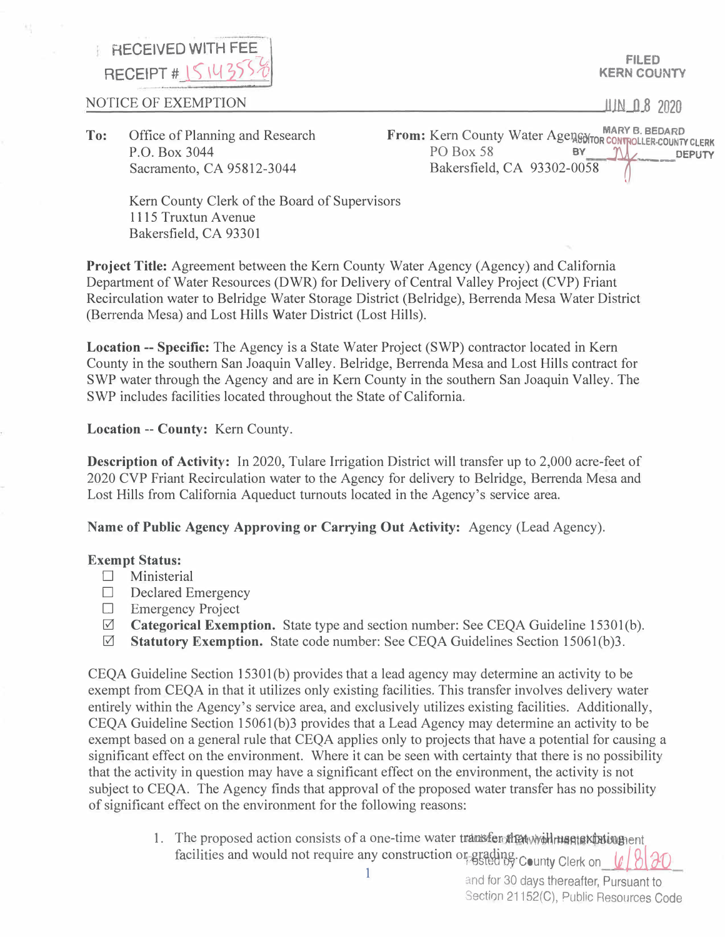## **RECEIVED WITH FEE** *-u* **RECEIPT # 151439**

NOTICE OF EXEMPTION

**FILED KERN COUNTY** 

**II IN O 8 2020** 

**To:** Office of Planning and Research P.O. Box 3044 Sacramento, CA 95812-3044

From: Kern County Water Agenes Mary B. BEDARD<br>
PO Box 58 **BY DEPUTY**<br>
P. L. CA 02202,0059 0059 Bakersfield, CA 93302-0058 -  $\left( \right)$ 

Kern County Clerk of the Board of Supervisors 1115 Truxtun Avenue Bakersfield, CA 93301

**Project Title:** Agreement between the Kern County Water Agency (Agency) and California Department of Water Resources (DWR) for Delivery of Central Valley Project (CVP) Friant Recirculation water to Belridge Water Storage District (Belridge), Berrenda Mesa Water District (Berrenda Mesa) and Lost Hills Water District (Lost Hills).

**Location -- Specific:** The Agency is a State Water Project (SWP) contractor located in Kern County in the southern San Joaquin Valley. Belridge, Berrenda Mesa and Lost Hills contract for SWP water through the Agency and are in Kern County in the southern San Joaquin Valley. The SWP includes facilities located throughout the State of California.

**Location -- County:** Kern County.

**Description of Activity:** In 2020, Tulare Irrigation District will transfer up to 2,000 acre-feet of 2020 CVP Friant Recirculation water to the Agency for delivery to Belridge, Berrenda Mesa and Lost Hills from California Aqueduct turnouts located in the Agency's service area.

**Name of Public Agency Approving or Carrying Out Activity:** Agency (Lead Agency).

## **Exempt Status:**

- □ Ministerial
- □ Declared Emergency
- $\square$  Emergency Project  $\square$  Categorical Exemp
- **Categorical Exemption.** State type and section number: See CEQA Guideline 15301(b).
- 0 **Statutory Exemption.** State code number: See CEQA Guidelines Section 15061(b)3.

CEQA Guideline Section 15301 (b) provides that a lead agency may determine an activity to be exempt from CEQA in that it utilizes only existing facilities. This transfer involves delivery water entirely within the Agency's service area, and exclusively utilizes existing facilities. Additionally, CEOA Guideline Section 15061(b)3 provides that a Lead Agency may determine an activity to be exempt based on a general rule that CEQA applies only to projects that have a potential for causing a significant effect on the environment. Where it can be seen with certainty that there is no possibility that the activity in question may have a significant effect on the environment, the activity is not subject to CEQA. The Agency finds that approval of the proposed water transfer has no possibility of significant effect on the environment for the following reasons:

> 1. The proposed action consists of a one-time water transferothat would maniak that was Facilities and would not require any construction or grading.<br>facilities and would not require any construction or grading.